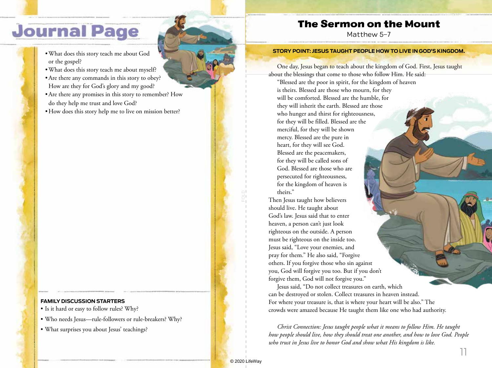# **Journal Page**

- •What does this story teach me about God or the gospel?
- •What does this story teach me about myself?
- •Are there any commands in this story to obey? How are they for God's glory and my good?
- •Are there any promises in this story to remember? How do they help me trust and love God?
- How does this story help me to live on mission better?

#### **FAMILY DISCUSSION STARTERS**

- Is it hard or easy to follow rules? Why?
- Who needs Jesus—rule-followers or rule-breakers? Why?
- What surprises you about Jesus' teachings?

## The Sermon on the Mount

Matthew 5–7

#### **STORY POINT: JESUS TAUGHT PEOPLE HOW TO LIVE IN GOD'S KINGDOM.**

One day, Jesus began to teach about the kingdom of God. First, Jesus taught about the blessings that come to those who follow Him. He said:

"Blessed are the poor in spirit, for the kingdom of heaven is theirs. Blessed are those who mourn, for they will be comforted. Blessed are the humble, for they will inherit the earth. Blessed are those who hunger and thirst for righteousness, for they will be filled. Blessed are the merciful, for they will be shown mercy. Blessed are the pure in heart, for they will see God. Blessed are the peacemakers, for they will be called sons of God. Blessed are those who are persecuted for righteousness, for the kingdom of heaven is theirs."

Then Jesus taught how believers should live. He taught about God's law. Jesus said that to enter heaven, a person can't just look righteous on the outside. A person must be righteous on the inside too. Jesus said, "Love your enemies, and pray for them." He also said, "Forgive others. If you forgive those who sin against you, God will forgive you too. But if you don't forgive them, God will not forgive you."

Jesus said, "Do not collect treasures on earth, which can be destroyed or stolen. Collect treasures in heaven instead. For where your treasure is, that is where your heart will be also." The crowds were amazed because He taught them like one who had authority.

*Christ Connection: Jesus taught people what it means to follow Him. He taught how people should live, how they should treat one another, and how to love God. People who trust in Jesus live to honor God and show what His kingdom is like.*